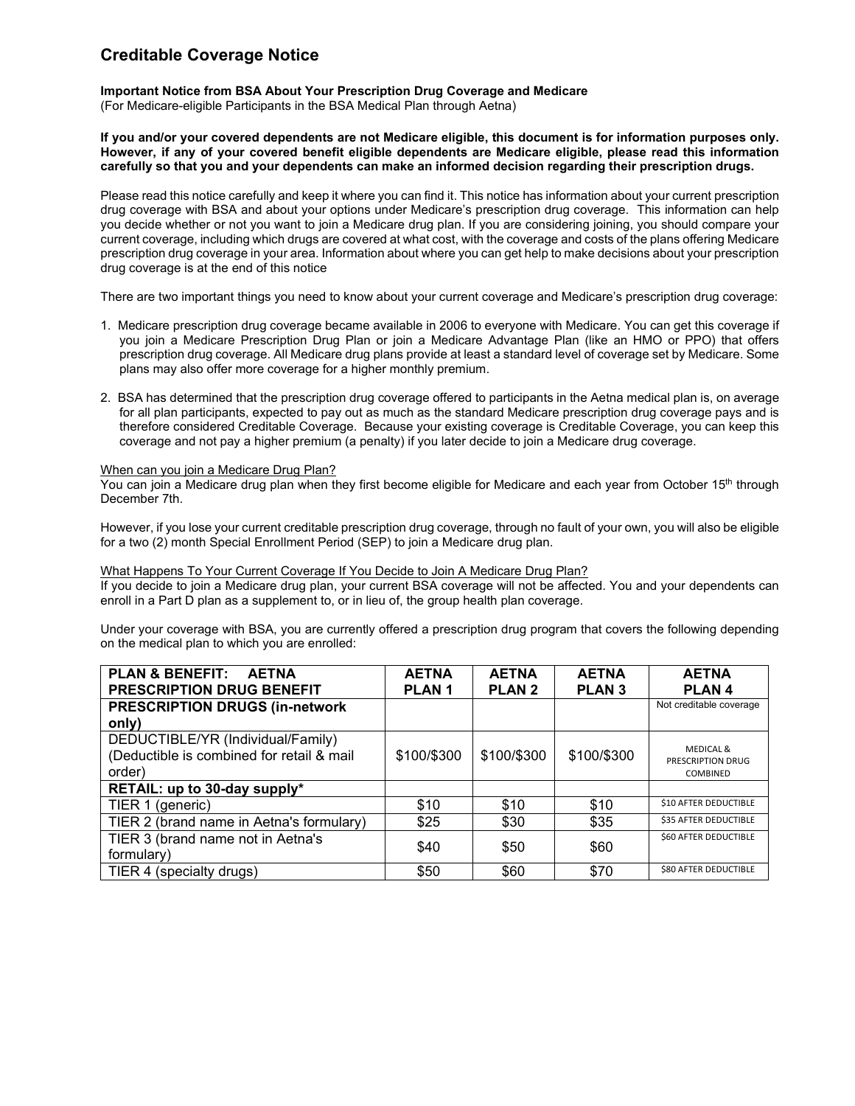# **Creditable Coverage Notice**

## **Important Notice from BSA About Your Prescription Drug Coverage and Medicare**

(For Medicare-eligible Participants in the BSA Medical Plan through Aetna)

**If you and/or your covered dependents are not Medicare eligible, this document is for information purposes only. However, if any of your covered benefit eligible dependents are Medicare eligible, please read this information carefully so that you and your dependents can make an informed decision regarding their prescription drugs.**

Please read this notice carefully and keep it where you can find it. This notice has information about your current prescription drug coverage with BSA and about your options under Medicare's prescription drug coverage. This information can help you decide whether or not you want to join a Medicare drug plan. If you are considering joining, you should compare your current coverage, including which drugs are covered at what cost, with the coverage and costs of the plans offering Medicare prescription drug coverage in your area. Information about where you can get help to make decisions about your prescription drug coverage is at the end of this notice

There are two important things you need to know about your current coverage and Medicare's prescription drug coverage:

- 1. Medicare prescription drug coverage became available in 2006 to everyone with Medicare. You can get this coverage if you join a Medicare Prescription Drug Plan or join a Medicare Advantage Plan (like an HMO or PPO) that offers prescription drug coverage. All Medicare drug plans provide at least a standard level of coverage set by Medicare. Some plans may also offer more coverage for a higher monthly premium.
- 2. BSA has determined that the prescription drug coverage offered to participants in the Aetna medical plan is, on average for all plan participants, expected to pay out as much as the standard Medicare prescription drug coverage pays and is therefore considered Creditable Coverage. Because your existing coverage is Creditable Coverage, you can keep this coverage and not pay a higher premium (a penalty) if you later decide to join a Medicare drug coverage.

### When can you join a Medicare Drug Plan?

You can join a Medicare drug plan when they first become eligible for Medicare and each year from October 15<sup>th</sup> through December 7th.

However, if you lose your current creditable prescription drug coverage, through no fault of your own, you will also be eligible for a two (2) month Special Enrollment Period (SEP) to join a Medicare drug plan.

What Happens To Your Current Coverage If You Decide to Join A Medicare Drug Plan? If you decide to join a Medicare drug plan, your current BSA coverage will not be affected. You and your dependents can enroll in a Part D plan as a supplement to, or in lieu of, the group health plan coverage.

Under your coverage with BSA, you are currently offered a prescription drug program that covers the following depending on the medical plan to which you are enrolled:

| <b>PLAN &amp; BENEFIT:</b><br><b>AETNA</b><br><b>PRESCRIPTION DRUG BENEFIT</b>           | <b>AETNA</b><br>PLAN <sub>1</sub> | <b>AETNA</b><br><b>PLAN 2</b> | <b>AETNA</b><br><b>PLAN 3</b> | <b>AETNA</b><br><b>PLAN4</b>                                 |
|------------------------------------------------------------------------------------------|-----------------------------------|-------------------------------|-------------------------------|--------------------------------------------------------------|
| <b>PRESCRIPTION DRUGS (in-network</b>                                                    |                                   |                               |                               | Not creditable coverage                                      |
| only)                                                                                    |                                   |                               |                               |                                                              |
| DEDUCTIBLE/YR (Individual/Family)<br>(Deductible is combined for retail & mail<br>order) | \$100/\$300                       | \$100/\$300                   | \$100/\$300                   | <b>MEDICAL &amp;</b><br>PRESCRIPTION DRUG<br><b>COMBINED</b> |
| RETAIL: up to 30-day supply*                                                             |                                   |                               |                               |                                                              |
| TIER 1 (generic)                                                                         | \$10                              | \$10                          | \$10                          | \$10 AFTER DEDUCTIBLE                                        |
| TIER 2 (brand name in Aetna's formulary)                                                 | \$25                              | \$30                          | \$35                          | <b>\$35 AFTER DEDUCTIBLE</b>                                 |
| TIER 3 (brand name not in Aetna's<br>formulary)                                          | \$40                              | \$50                          | \$60                          | <b>\$60 AFTER DEDUCTIBLE</b>                                 |
| TIER 4 (specialty drugs)                                                                 | \$50                              | \$60                          | \$70                          | <b>\$80 AFTER DEDUCTIBLE</b>                                 |